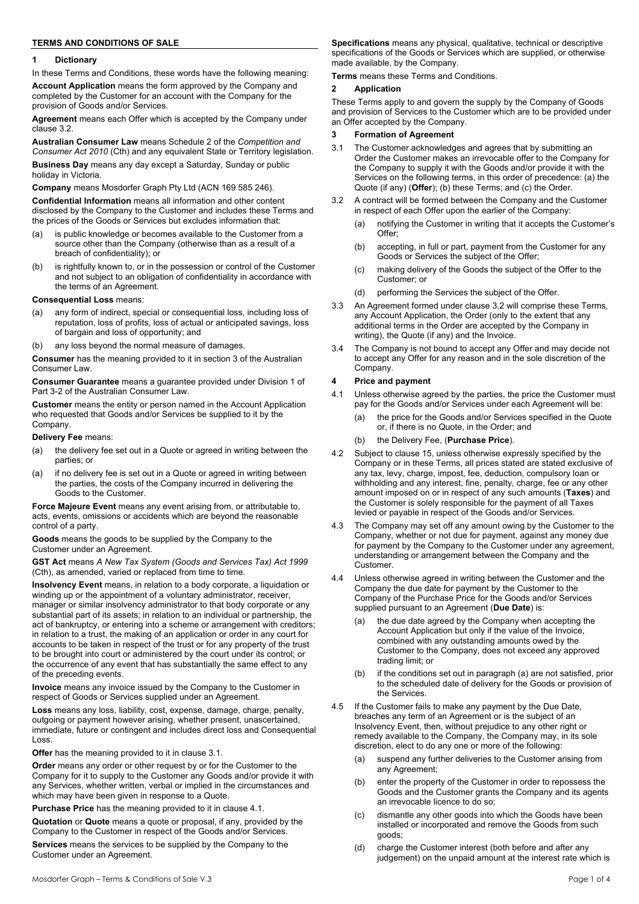# **TERMS AND CONDITIONS OF SALE**

### **1 Dictionary**

In these Terms and Conditions, these words have the following meaning:

**Account Application** means the form approved by the Company and completed by the Customer for an account with the Company for the provision of Goods and/or Services.

**Agreement** means each Offer which is accepted by the Company under clause 3.2.

**Australian Consumer Law** means Schedule 2 of the *Competition and Consumer Act 2010* (Cth) and any equivalent State or Territory legislation.

**Business Day** means any day except a Saturday, Sunday or public holiday in Victoria.

**Company** means Mosdorfer Graph Pty Ltd (ACN 169 585 246).

**Confidential Information** means all information and other content disclosed by the Company to the Customer and includes these Terms and the prices of the Goods or Services but excludes information that:

- (a) is public knowledge or becomes available to the Customer from a source other than the Company (otherwise than as a result of a breach of confidentiality); or
- (b) is rightfully known to, or in the possession or control of the Customer and not subject to an obligation of confidentiality in accordance with the terms of an Agreement.
- **Consequential Loss** means:
- (a) any form of indirect, special or consequential loss, including loss of reputation, loss of profits, loss of actual or anticipated savings, loss of bargain and loss of opportunity; and
- any loss beyond the normal measure of damages.

**Consumer** has the meaning provided to it in section 3 of the Australian Consumer Law.

**Consumer Guarantee** means a guarantee provided under Division 1 of Part 3-2 of the Australian Consumer Law.

**Customer** means the entity or person named in the Account Application who requested that Goods and/or Services be supplied to it by the Company.

### **Delivery Fee** means:

- (a) the delivery fee set out in a Quote or agreed in writing between the parties; or
- (a) if no delivery fee is set out in a Quote or agreed in writing between the parties, the costs of the Company incurred in delivering the Goods to the Customer.

**Force Majeure Event** means any event arising from, or attributable to, acts, events, omissions or accidents which are beyond the reasonable control of a party.

**Goods** means the goods to be supplied by the Company to the Customer under an Agreement.

**GST Act** means *A New Tax System (Goods and Services Tax) Act 1999* (Cth), as amended, varied or replaced from time to time.

**Insolvency Event** means, in relation to a body corporate, a liquidation or winding up or the appointment of a voluntary administrator, receiver, manager or similar insolvency administrator to that body corporate or any substantial part of its assets; in relation to an individual or partnership, the act of bankruptcy, or entering into a scheme or arrangement with creditors; in relation to a trust, the making of an application or order in any court for accounts to be taken in respect of the trust or for any property of the trust to be brought into court or administered by the court under its control; or the occurrence of any event that has substantially the same effect to any of the preceding events.

**Invoice** means any invoice issued by the Company to the Customer in respect of Goods or Services supplied under an Agreement.

**Loss** means any loss, liability, cost, expense, damage, charge, penalty, outgoing or payment however arising, whether present, unascertained, immediate, future or contingent and includes direct loss and Consequential Loss.

**Offer** has the meaning provided to it in clause 3.1.

**Order** means any order or other request by or for the Customer to the Company for it to supply to the Customer any Goods and/or provide it with any Services, whether written, verbal or implied in the circumstances and which may have been given in response to a Quote.

**Purchase Price** has the meaning provided to it in clause 4.1.

**Quotation** or **Quote** means a quote or proposal, if any, provided by the Company to the Customer in respect of the Goods and/or Services.

**Services** means the services to be supplied by the Company to the Customer under an Agreement.

**Specifications** means any physical, qualitative, technical or descriptive specifications of the Goods or Services which are supplied, or otherwise made available, by the Company.

**Terms** means these Terms and Conditions.

# **2 Application**

These Terms apply to and govern the supply by the Company of Goods and provision of Services to the Customer which are to be provided under an Offer accepted by the Company.

## **3 Formation of Agreement**

- 3.1 The Customer acknowledges and agrees that by submitting an Order the Customer makes an irrevocable offer to the Company for the Company to supply it with the Goods and/or provide it with the Services on the following terms, in this order of precedence: (a) the Quote (if any) (Offer); (b) these Terms; and (c) the Order.
- 3.2 A contract will be formed between the Company and the Customer in respect of each Offer upon the earlier of the Company:
	- (a) notifying the Customer in writing that it accepts the Customer's Offer;
	- (b) accepting, in full or part, payment from the Customer for any Goods or Services the subject of the Offer;
	- (c) making delivery of the Goods the subject of the Offer to the Customer; or
	- (d) performing the Services the subject of the Offer.
- 3.3 An Agreement formed under clause 3.2 will comprise these Terms, any Account Application, the Order (only to the extent that any additional terms in the Order are accepted by the Company in writing), the Quote (if any) and the Invoice.
- 3.4 The Company is not bound to accept any Offer and may decide not to accept any Offer for any reason and in the sole discretion of the Company.

### **4 Price and payment**

- 4.1 Unless otherwise agreed by the parties, the price the Customer must pay for the Goods and/or Services under each Agreement will be:
	- (a) the price for the Goods and/or Services specified in the Quote or, if there is no Quote, in the Order; and
	- (b) the Delivery Fee, (**Purchase Price**).
- 4.2 Subject to clause 15, unless otherwise expressly specified by the Company or in these Terms, all prices stated are stated exclusive of any tax, levy, charge, impost, fee, deduction, compulsory loan or withholding and any interest, fine, penalty, charge, fee or any other amount imposed on or in respect of any such amounts (**Taxes**) and the Customer is solely responsible for the payment of all Taxes levied or payable in respect of the Goods and/or Services.
- 4.3 The Company may set off any amount owing by the Customer to the Company, whether or not due for payment, against any money due for payment by the Company to the Customer under any agreement, understanding or arrangement between the Company and the Customer.
- 4.4 Unless otherwise agreed in writing between the Customer and the Company the due date for payment by the Customer to the Company of the Purchase Price for the Goods and/or Services supplied pursuant to an Agreement (**Due Date**) is:
	- the due date agreed by the Company when accepting the Account Application but only if the value of the Invoice, combined with any outstanding amounts owed by the Customer to the Company, does not exceed any approved trading limit; or
	- (b) if the conditions set out in paragraph (a) are not satisfied, prior to the scheduled date of delivery for the Goods or provision of the Services.
- 4.5 If the Customer fails to make any payment by the Due Date, breaches any term of an Agreement or is the subject of an Insolvency Event, then, without prejudice to any other right or remedy available to the Company, the Company may, in its sole discretion, elect to do any one or more of the following:
	- (a) suspend any further deliveries to the Customer arising from any Agreement;
	- (b) enter the property of the Customer in order to repossess the Goods and the Customer grants the Company and its agents an irrevocable licence to do so;
	- (c) dismantle any other goods into which the Goods have been installed or incorporated and remove the Goods from such goods;
	- (d) charge the Customer interest (both before and after any judgement) on the unpaid amount at the interest rate which is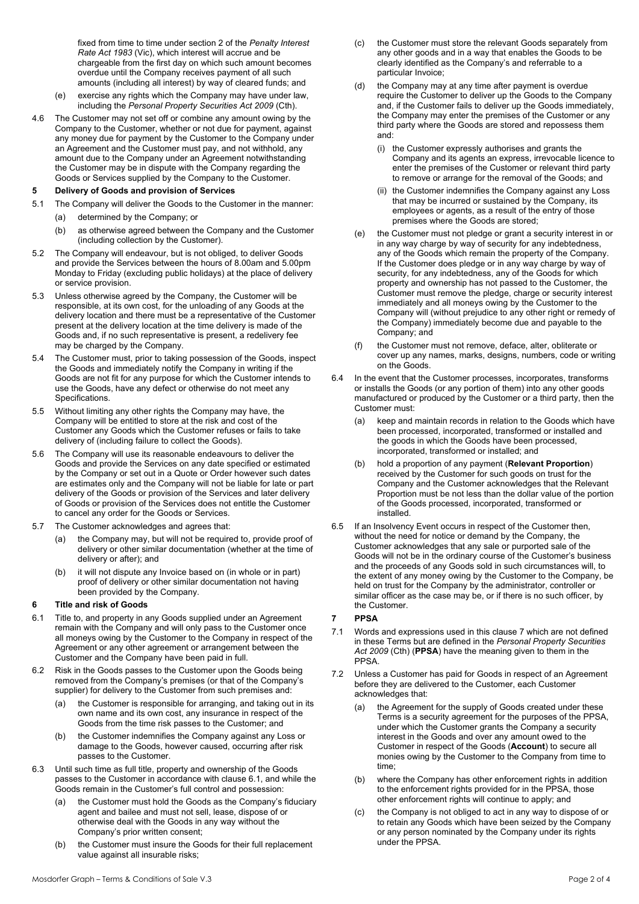fixed from time to time under section 2 of the *Penalty Interest Rate Act 1983* (Vic), which interest will accrue and be chargeable from the first day on which such amount becomes overdue until the Company receives payment of all such amounts (including all interest) by way of cleared funds; and

- (e) exercise any rights which the Company may have under law, including the *Personal Property Securities Act 2009* (Cth).
- 4.6 The Customer may not set off or combine any amount owing by the Company to the Customer, whether or not due for payment, against any money due for payment by the Customer to the Company under an Agreement and the Customer must pay, and not withhold, any amount due to the Company under an Agreement notwithstanding the Customer may be in dispute with the Company regarding the Goods or Services supplied by the Company to the Customer.

# **5 Delivery of Goods and provision of Services**

- 5.1 The Company will deliver the Goods to the Customer in the manner:
	- (a) determined by the Company; or
	- (b) as otherwise agreed between the Company and the Customer (including collection by the Customer).
- 5.2 The Company will endeavour, but is not obliged, to deliver Goods and provide the Services between the hours of 8.00am and 5.00pm Monday to Friday (excluding public holidays) at the place of delivery or service provision.
- 5.3 Unless otherwise agreed by the Company, the Customer will be responsible, at its own cost, for the unloading of any Goods at the delivery location and there must be a representative of the Customer present at the delivery location at the time delivery is made of the Goods and, if no such representative is present, a redelivery fee may be charged by the Company.
- 5.4 The Customer must, prior to taking possession of the Goods, inspect the Goods and immediately notify the Company in writing if the Goods are not fit for any purpose for which the Customer intends to use the Goods, have any defect or otherwise do not meet any Specifications.
- 5.5 Without limiting any other rights the Company may have, the Company will be entitled to store at the risk and cost of the Customer any Goods which the Customer refuses or fails to take delivery of (including failure to collect the Goods).
- 5.6 The Company will use its reasonable endeavours to deliver the Goods and provide the Services on any date specified or estimated by the Company or set out in a Quote or Order however such dates are estimates only and the Company will not be liable for late or part delivery of the Goods or provision of the Services and later delivery of Goods or provision of the Services does not entitle the Customer to cancel any order for the Goods or Services.
- 5.7 The Customer acknowledges and agrees that:
	- (a) the Company may, but will not be required to, provide proof of delivery or other similar documentation (whether at the time of delivery or after); and
	- (b) it will not dispute any Invoice based on (in whole or in part) proof of delivery or other similar documentation not having been provided by the Company.

# **6 Title and risk of Goods**

- 6.1 Title to, and property in any Goods supplied under an Agreement remain with the Company and will only pass to the Customer once all moneys owing by the Customer to the Company in respect of the Agreement or any other agreement or arrangement between the Customer and the Company have been paid in full.
- 6.2 Risk in the Goods passes to the Customer upon the Goods being removed from the Company's premises (or that of the Company's supplier) for delivery to the Customer from such premises and:
	- (a) the Customer is responsible for arranging, and taking out in its own name and its own cost, any insurance in respect of the Goods from the time risk passes to the Customer; and
	- (b) the Customer indemnifies the Company against any Loss or damage to the Goods, however caused, occurring after risk passes to the Customer.
- 6.3 Until such time as full title, property and ownership of the Goods passes to the Customer in accordance with clause 6.1, and while the Goods remain in the Customer's full control and possession:
	- (a) the Customer must hold the Goods as the Company's fiduciary agent and bailee and must not sell, lease, dispose of or otherwise deal with the Goods in any way without the Company's prior written consent;
	- (b) the Customer must insure the Goods for their full replacement value against all insurable risks;
- (c) the Customer must store the relevant Goods separately from any other goods and in a way that enables the Goods to be clearly identified as the Company's and referrable to a particular Invoice;
- (d) the Company may at any time after payment is overdue require the Customer to deliver up the Goods to the Company and, if the Customer fails to deliver up the Goods immediately, the Company may enter the premises of the Customer or any third party where the Goods are stored and repossess them and:
	- (i) the Customer expressly authorises and grants the Company and its agents an express, irrevocable licence to enter the premises of the Customer or relevant third party to remove or arrange for the removal of the Goods; and
	- (ii) the Customer indemnifies the Company against any Loss that may be incurred or sustained by the Company, its employees or agents, as a result of the entry of those premises where the Goods are stored;
- (e) the Customer must not pledge or grant a security interest in or in any way charge by way of security for any indebtedness, any of the Goods which remain the property of the Company. If the Customer does pledge or in any way charge by way of security, for any indebtedness, any of the Goods for which property and ownership has not passed to the Customer, the Customer must remove the pledge, charge or security interest immediately and all moneys owing by the Customer to the Company will (without prejudice to any other right or remedy of the Company) immediately become due and payable to the Company; and
- (f) the Customer must not remove, deface, alter, obliterate or cover up any names, marks, designs, numbers, code or writing on the Goods.
- 6.4 In the event that the Customer processes, incorporates, transforms or installs the Goods (or any portion of them) into any other goods manufactured or produced by the Customer or a third party, then the Customer must:
	- keep and maintain records in relation to the Goods which have been processed, incorporated, transformed or installed and the goods in which the Goods have been processed, incorporated, transformed or installed; and
	- (b) hold a proportion of any payment (**Relevant Proportion**) received by the Customer for such goods on trust for the Company and the Customer acknowledges that the Relevant Proportion must be not less than the dollar value of the portion of the Goods processed, incorporated, transformed or installed.
- 6.5 If an Insolvency Event occurs in respect of the Customer then, without the need for notice or demand by the Company, the Customer acknowledges that any sale or purported sale of the Goods will not be in the ordinary course of the Customer's business and the proceeds of any Goods sold in such circumstances will, to the extent of any money owing by the Customer to the Company, be held on trust for the Company by the administrator, controller or similar officer as the case may be, or if there is no such officer, by the Customer.

# **7 PPSA**

- 7.1 Words and expressions used in this clause 7 which are not defined in these Terms but are defined in the *Personal Property Securities Act 2009* (Cth) (**PPSA**) have the meaning given to them in the PPSA.
- 7.2 Unless a Customer has paid for Goods in respect of an Agreement before they are delivered to the Customer, each Customer acknowledges that:
	- (a) the Agreement for the supply of Goods created under these Terms is a security agreement for the purposes of the PPSA, under which the Customer grants the Company a security interest in the Goods and over any amount owed to the Customer in respect of the Goods (**Account**) to secure all monies owing by the Customer to the Company from time to time;
	- (b) where the Company has other enforcement rights in addition to the enforcement rights provided for in the PPSA, those other enforcement rights will continue to apply; and
	- (c) the Company is not obliged to act in any way to dispose of or to retain any Goods which have been seized by the Company or any person nominated by the Company under its rights under the PPSA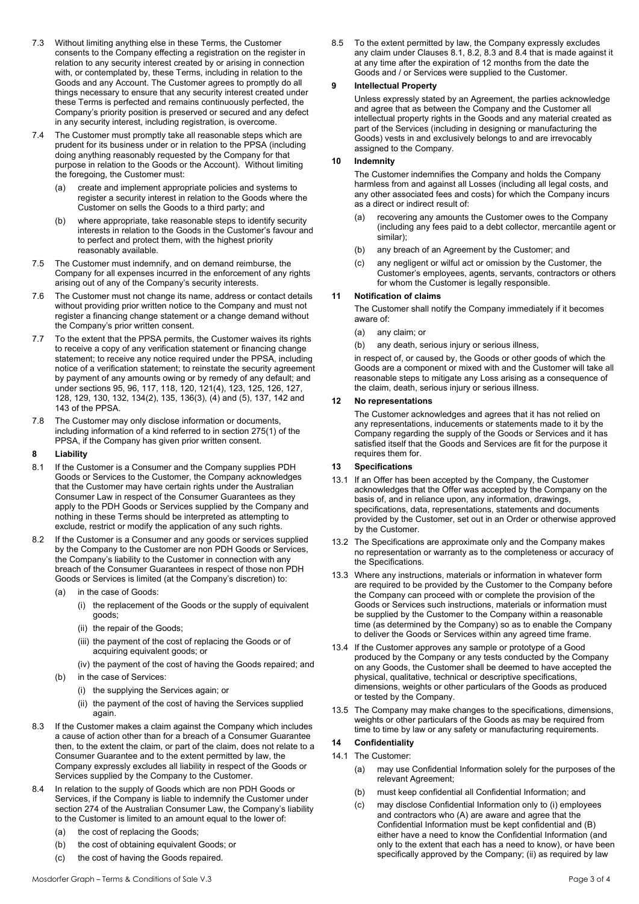- 7.3 Without limiting anything else in these Terms, the Customer consents to the Company effecting a registration on the register in relation to any security interest created by or arising in connection with, or contemplated by, these Terms, including in relation to the Goods and any Account. The Customer agrees to promptly do all things necessary to ensure that any security interest created under these Terms is perfected and remains continuously perfected, the Company's priority position is preserved or secured and any defect in any security interest, including registration, is overcome.
- 7.4 The Customer must promptly take all reasonable steps which are prudent for its business under or in relation to the PPSA (including doing anything reasonably requested by the Company for that purpose in relation to the Goods or the Account). Without limiting the foregoing, the Customer must:
	- (a) create and implement appropriate policies and systems to register a security interest in relation to the Goods where the Customer on sells the Goods to a third party; and
	- (b) where appropriate, take reasonable steps to identify security interests in relation to the Goods in the Customer's favour and to perfect and protect them, with the highest priority reasonably available.
- 7.5 The Customer must indemnify, and on demand reimburse, the Company for all expenses incurred in the enforcement of any rights arising out of any of the Company's security interests.
- 7.6 The Customer must not change its name, address or contact details without providing prior written notice to the Company and must not register a financing change statement or a change demand without the Company's prior written consent.
- 7.7 To the extent that the PPSA permits, the Customer waives its rights to receive a copy of any verification statement or financing change statement; to receive any notice required under the PPSA, including notice of a verification statement; to reinstate the security agreement by payment of any amounts owing or by remedy of any default; and under sections 95, 96, 117, 118, 120, 121(4), 123, 125, 126, 127, 128, 129, 130, 132, 134(2), 135, 136(3), (4) and (5), 137, 142 and 143 of the PPSA.
- 7.8 The Customer may only disclose information or documents, including information of a kind referred to in section 275(1) of the PPSA, if the Company has given prior written consent.

### **8 Liability**

- 8.1 If the Customer is a Consumer and the Company supplies PDH Goods or Services to the Customer, the Company acknowledges that the Customer may have certain rights under the Australian Consumer Law in respect of the Consumer Guarantees as they apply to the PDH Goods or Services supplied by the Company and nothing in these Terms should be interpreted as attempting to exclude, restrict or modify the application of any such rights.
- 8.2 If the Customer is a Consumer and any goods or services supplied by the Company to the Customer are non PDH Goods or Services, the Company's liability to the Customer in connection with any breach of the Consumer Guarantees in respect of those non PDH Goods or Services is limited (at the Company's discretion) to:
	- (a) in the case of Goods:
		- (i) the replacement of the Goods or the supply of equivalent goods;
		- (ii) the repair of the Goods;
		- (iii) the payment of the cost of replacing the Goods or of acquiring equivalent goods; or
		- (iv) the payment of the cost of having the Goods repaired; and
	- (b) in the case of Services:
		- (i) the supplying the Services again; or
			- (ii) the payment of the cost of having the Services supplied again.
- 8.3 If the Customer makes a claim against the Company which includes a cause of action other than for a breach of a Consumer Guarantee then, to the extent the claim, or part of the claim, does not relate to a Consumer Guarantee and to the extent permitted by law, the Company expressly excludes all liability in respect of the Goods or Services supplied by the Company to the Customer.
- 8.4 In relation to the supply of Goods which are non PDH Goods or Services, if the Company is liable to indemnify the Customer under section 274 of the Australian Consumer Law, the Company's liability to the Customer is limited to an amount equal to the lower of:
	- (a) the cost of replacing the Goods;
	- (b) the cost of obtaining equivalent Goods; or
	- (c) the cost of having the Goods repaired.

8.5 To the extent permitted by law, the Company expressly excludes any claim under Clauses 8.1, 8.2, 8.3 and 8.4 that is made against it at any time after the expiration of 12 months from the date the Goods and / or Services were supplied to the Customer.

### **9 Intellectual Property**

Unless expressly stated by an Agreement, the parties acknowledge and agree that as between the Company and the Customer all intellectual property rights in the Goods and any material created as part of the Services (including in designing or manufacturing the Goods) vests in and exclusively belongs to and are irrevocably assigned to the Company.

#### **10 Indemnity**

The Customer indemnifies the Company and holds the Company harmless from and against all Losses (including all legal costs, and any other associated fees and costs) for which the Company incurs as a direct or indirect result of:

- (a) recovering any amounts the Customer owes to the Company (including any fees paid to a debt collector, mercantile agent or similar);
- (b) any breach of an Agreement by the Customer; and
- (c) any negligent or wilful act or omission by the Customer, the Customer's employees, agents, servants, contractors or others for whom the Customer is legally responsible.

#### **11 Notification of claims**

The Customer shall notify the Company immediately if it becomes aware of:

- (a) any claim; or
- (b) any death, serious injury or serious illness,

in respect of, or caused by, the Goods or other goods of which the Goods are a component or mixed with and the Customer will take all reasonable steps to mitigate any Loss arising as a consequence of the claim, death, serious injury or serious illness.

#### **12 No representations**

The Customer acknowledges and agrees that it has not relied on any representations, inducements or statements made to it by the Company regarding the supply of the Goods or Services and it has satisfied itself that the Goods and Services are fit for the purpose it requires them for.

### **13 Specifications**

- 13.1 If an Offer has been accepted by the Company, the Customer acknowledges that the Offer was accepted by the Company on the basis of, and in reliance upon, any information, drawings, specifications, data, representations, statements and documents provided by the Customer, set out in an Order or otherwise approved by the Customer.
- 13.2 The Specifications are approximate only and the Company makes no representation or warranty as to the completeness or accuracy of the Specifications.
- 13.3 Where any instructions, materials or information in whatever form are required to be provided by the Customer to the Company before the Company can proceed with or complete the provision of the Goods or Services such instructions, materials or information must be supplied by the Customer to the Company within a reasonable time (as determined by the Company) so as to enable the Company to deliver the Goods or Services within any agreed time frame.
- 13.4 If the Customer approves any sample or prototype of a Good produced by the Company or any tests conducted by the Company on any Goods, the Customer shall be deemed to have accepted the physical, qualitative, technical or descriptive specifications, dimensions, weights or other particulars of the Goods as produced or tested by the Company.
- 13.5 The Company may make changes to the specifications, dimensions, weights or other particulars of the Goods as may be required from time to time by law or any safety or manufacturing requirements.

### **14 Confidentiality**

- 14.1 The Customer:
	- (a) may use Confidential Information solely for the purposes of the relevant Agreement;
	- (b) must keep confidential all Confidential Information; and
	- (c) may disclose Confidential Information only to (i) employees and contractors who (A) are aware and agree that the Confidential Information must be kept confidential and (B) either have a need to know the Confidential Information (and only to the extent that each has a need to know), or have been specifically approved by the Company; (ii) as required by law